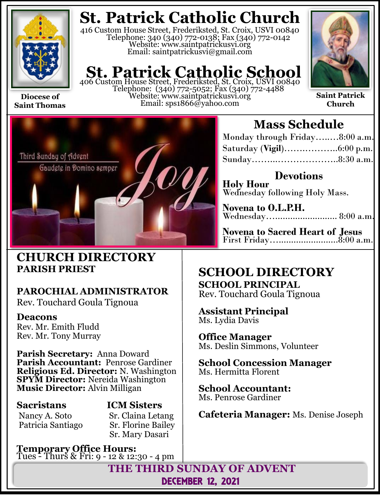

**Saint Thomas**

## **St. Patrick Catholic Church**

416 Custom House Street, Frederiksted, St. Croix, USVI 00840 Telephone: 340 (340) 772-0138; Fax (340) 772-0142 Website: www.saintpatrickusvi.org Email: saintpatrickusvi@gmail.com

## **St. Patrick Catholic School**

406 Custom House Street, Frederiksted, St. Croix, USVI 00840 Telephone: (340) 772-5052; Fax (340) 772-4488 Website: www.saintpatrickusvi.org Email: sps1866@yahoo.com



**Saint Patrick Church**



### **CHURCH DIRECTORY PARISH PRIEST**

## **PAROCHIAL ADMINISTRATOR**

Rev. Touchard Goula Tignoua

### **Deacons**

Rev. Mr. Emith Fludd Rev. Mr. Tony Murray

**Parish Secretary:** Anna Doward **Parish Accountant:** Penrose Gardiner **Religious Ed. Director:** N. Washington **SPYM Director:** Nereida Washington **Music Director:** Alvin Milligan

## **Sacristans ICM Sisters**

Nancy A. Soto Sr. Claina Letang<br>Patricia Santiago Sr. Florine Bailey **Sr. Florine Bailey** Sr. Mary Dasari

**Temporary Office Hours:**  Tues - Thurs & Fri: 9 - 12 & 12:30 - 4 pm

## **Mass Schedule**

| Monday through Friday8:00 a.m. |  |
|--------------------------------|--|
|                                |  |
|                                |  |

**Devotions Holy Hour**  Wednesday following Holy Mass.

**Novena to O.L.P.H.** Wednesday…......................... 8:00 a.m.

**Novena to Sacred Heart of Jesus** First Friday…........................8:00 a.m.

### **SCHOOL DIRECTORY SCHOOL PRINCIPAL**

Rev. Touchard Goula Tignoua

**Assistant Principal** Ms. Lydia Davis

**Office Manager** Ms. Deslin Simmons, Volunteer

**School Concession Manager** Ms. Hermitta Florent

**School Accountant:**  Ms. Penrose Gardiner

**Cafeteria Manager:** Ms. Denise Joseph

**THE THIRD SUNDAY OF ADVENT** DECEMBER 12, 2021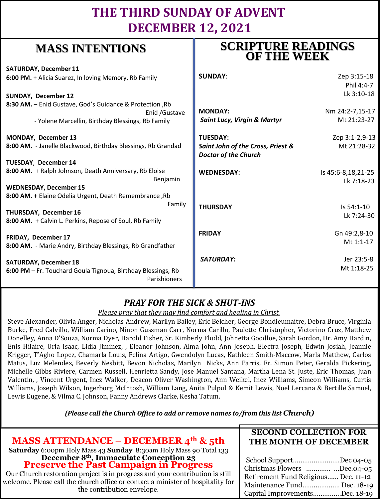## **THE THIRD SUNDAY OF ADVENT DECEMBER 12, 2021**

**SCRIPTURE READINGS** 

## **MASS INTENTIONS**

| where hyperically                                                                          | <b>OF THE WEEK</b>                                               |                                  |
|--------------------------------------------------------------------------------------------|------------------------------------------------------------------|----------------------------------|
| <b>SATURDAY, December 11</b>                                                               |                                                                  |                                  |
| 6:00 PM. + Alicia Suarez, In loving Memory, Rb Family                                      | <b>SUNDAY:</b>                                                   | Zep 3:15-18                      |
|                                                                                            |                                                                  | Phil 4:4-7                       |
| <b>SUNDAY, December 12</b>                                                                 |                                                                  | Lk 3:10-18                       |
| 8:30 AM. - Enid Gustave, God's Guidance & Protection, Rb<br>Enid / Gustave                 | <b>MONDAY:</b>                                                   | Nm 24:2-7,15-17                  |
| - Yolene Marcellin, Birthday Blessings, Rb Family                                          | <b>Saint Lucy, Virgin &amp; Martyr</b>                           | Mt 21:23-27                      |
| MONDAY, December 13                                                                        | <b>TUESDAY:</b>                                                  | Zep 3:1-2,9-13                   |
| 8:00 AM. - Janelle Blackwood, Birthday Blessings, Rb Grandad                               | Saint John of the Cross, Priest &<br><b>Doctor of the Church</b> | Mt 21:28-32                      |
| TUESDAY, December 14                                                                       |                                                                  |                                  |
| 8:00 AM. + Ralph Johnson, Death Anniversary, Rb Eloise<br>Benjamin                         | <b>WEDNESDAY:</b>                                                | Is 45:6-8,18,21-25<br>Lk 7:18-23 |
| <b>WEDNESDAY, December 15</b>                                                              |                                                                  |                                  |
| 8:00 AM. + Elaine Odelia Urgent, Death Remembrance, Rb                                     |                                                                  |                                  |
| Family<br>THURSDAY, December 16<br>8:00 AM. + Calvin L. Perkins, Repose of Soul, Rb Family | <b>THURSDAY</b>                                                  | Is 54:1-10<br>Lk 7:24-30         |
| FRIDAY, December 17                                                                        | <b>FRIDAY</b>                                                    | Gn 49:2,8-10                     |
| 8:00 AM. - Marie Andry, Birthday Blessings, Rb Grandfather                                 |                                                                  | Mt 1:1-17                        |
| <b>SATURDAY, December 18</b>                                                               | <b>SATURDAY:</b>                                                 | Jer 23:5-8                       |
| 6:00 PM - Fr. Touchard Goula Tignoua, Birthday Blessings, Rb<br>Parishioners               |                                                                  | Mt 1:18-25                       |

### *PRAY FOR THE SICK & SHUT-INS*

#### *Please pray that they may find comfort and healing in Christ.*

Steve Alexander, Olivia Anger, Nicholas Andrew, Marilyn Bailey, Eric Belcher, George Bondieumaitre, Debra Bruce, Virginia Burke, Fred Calvillo, William Carino, Ninon Gussman Carr, Norma Carillo, Paulette Christopher, Victorino Cruz, Matthew Donelley, Anna D'Souza, Norma Dyer, Harold Fisher, Sr. Kimberly Fludd, Johnetta Goodloe, Sarah Gordon, Dr. Amy Hardin, Enis Hilaire, Urla Isaac, Lidia Jiminez, , Eleanor Johnson, Alma John, Ann Joseph, Electra Joseph, Edwin Josiah, Jeannie Krigger, T'Agho Lopez, Chamarla Louis, Felina Artigo, Gwendolyn Lucas, Kathleen Smith-Maccow, Marla Matthew, Carlos Matus, Luz Melendez, Beverly Nesbitt, Bevon Nicholas, Marilyn Nicks, Ann Parris, Fr. Simon Peter, Geralda Pickering, Michelle Gibbs Riviere, Carmen Russell, Henrietta Sandy, Jose Manuel Santana, Martha Lena St. Juste, Eric Thomas, Juan Valentin, , Vincent Urgent, Inez Walker, Deacon Oliver Washington, Ann Weikel, Inez Williams, Simeon Williams, Curtis Williams, Joseph Wilson, Ingerborg McIntosh, William Lang, Anita Pulpul & Kemit Lewis, Noel Lercana & Bertille Samuel, Lewis Eugene, & Vilma C. Johnson, Fanny Andrews Clarke, Kesha Tatum.

*(Please call the Church Office to add or remove names to/from this list Church)*

|                                                                                                                                                                                                                                                                                                | <b>SECOND COLLECTION FOR</b>                                                                                                                                    |  |
|------------------------------------------------------------------------------------------------------------------------------------------------------------------------------------------------------------------------------------------------------------------------------------------------|-----------------------------------------------------------------------------------------------------------------------------------------------------------------|--|
| <b>MASS ATTENDANCE – DECEMBER 4th &amp; 5th</b>                                                                                                                                                                                                                                                | THE MONTH OF DECEMBER                                                                                                                                           |  |
| Saturday 6:00pm Holy Mass 43 Sunday 8:30am Holy Mass 90 Total 133                                                                                                                                                                                                                              |                                                                                                                                                                 |  |
| December 8 <sup>th</sup> , Immaculate Conception 23<br>Preserve the Past Campaign in Progress<br>Our Church restoration project is in progress and your contribution is still<br>welcome. Please call the church office or contact a minister of hospitality for<br>the contribution envelope. | School SupportDec 04-05<br>Christmas Flowers Dec.04-05<br>Retirement Fund Religious Dec. 11-12<br>Maintenance Fund Dec. 18-19<br>Capital ImprovementsDec. 18-19 |  |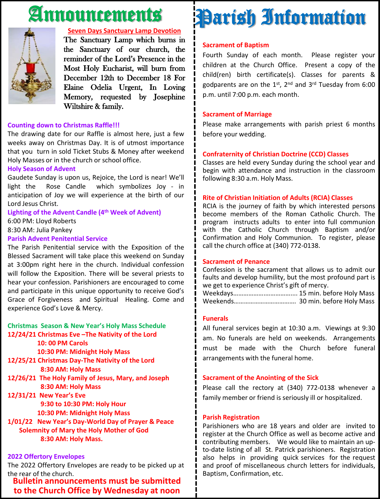## Announcements



#### **Seven Days Sanctuary Lamp Devotion**

The Sanctuary Lamp which burns in the Sanctuary of our church, the reminder of the Lord's Presence in the Most Holy Eucharist, will burn from December 12th to December 18 For Elaine Odelia Urgent, In Loving Memory, requested by Josephine Wiltshire & family.

#### **Counting down to Christmas Raffle!!!**

The drawing date for our Raffle is almost here, just a few weeks away on Christmas Day. It is of utmost importance that you turn in sold Ticket Stubs & Money after weekend Holy Masses or in the church or school office.

#### **Holy Season of Advent**

Gaudete Sunday is upon us, Rejoice, the Lord is near! We'll light the Rose Candle which symbolizes Joy - in anticipation of Joy we will experience at the birth of our Lord Jesus Christ.

#### **Lighting of the Advent Candle (4 th Week of Advent)**

6:00 PM: Lloyd Roberts

8:30 AM: Julia Pankey

#### **Parish Advent Penitential Service**

The Parish Penitential service with the Exposition of the Blessed Sacrament will take place this weekend on Sunday at 3:00pm right here in the church. Individual confession will follow the Exposition. There will be several priests to hear your confession. Parishioners are encouraged to come and participate in this unique opportunity to receive God's Grace of Forgiveness and Spiritual Healing. Come and experience God's Love & Mercy.

#### **Christmas Season & New Year's Holy Mass Schedule 12/24/21 Christmas Eve –The Nativity of the Lord**

**10: 00 PM Carols**

**10:30 PM: Midnight Holy Mass**

- **12/25/21 Christmas Day-The Nativity of the Lord 8:30 AM: Holy Mass**
- **12/26/21 The Holy Family of Jesus, Mary, and Joseph 8:30 AM: Holy Mass**

**12/31/21 New Year's Eve 9:30 to 10:30 PM: Holy Hour 10:30 PM: Midnight Holy Mass**

**1/01/22 New Year's Day-World Day of Prayer & Peace Solemnity of Mary the Holy Mother of God 8:30 AM: Holy Mass.**

#### **2022 Offertory Envelopes**

The 2022 Offertory Envelopes are ready to be picked up at the rear of the church.

**Bulletin announcements must be submitted to the Church Office by Wednesday at noon**

# Parish Information

#### **Sacrament of Baptism**

Fourth Sunday of each month. Please register your children at the Church Office. Present a copy of the child(ren) birth certificate(s). Classes for parents & godparents are on the 1st, 2<sup>nd</sup> and 3<sup>rd</sup> Tuesday from 6:00 p.m. until 7:00 p.m. each month.

#### **Sacrament of Marriage**

Please make arrangements with parish priest 6 months before your wedding.

#### **Confraternity of Christian Doctrine (CCD) Classes**

Classes are held every Sunday during the school year and begin with attendance and instruction in the classroom following 8:30 a.m. Holy Mass.

#### **Rite of Christian Initiation of Adults (RCIA) Classes**

RCIA is the journey of faith by which interested persons become members of the Roman Catholic Church. The program instructs adults to enter into full communion with the Catholic Church through Baptism and/or Confirmation and Holy Communion. To register, please call the church office at (340) 772-0138.

#### **Sacrament of Penance**

Confession is the sacrament that allows us to admit our faults and develop humility, but the most profound part is we get to experience Christ's gift of mercy.

Weekdays……………….…………….... 15 min. before Holy Mass Weekends………………………………. 30 min. before Holy Mass

#### **Funerals**

All funeral services begin at 10:30 a.m. Viewings at 9:30 am. No funerals are held on weekends. Arrangements must be made with the Church before funeral arrangements with the funeral home.

#### **Sacrament of the Anointing of the Sick**

Please call the rectory at (340) 772-0138 whenever a family member or friend is seriously ill or hospitalized.

#### **Parish Registration**

Parishioners who are 18 years and older are invited to register at the Church Office as well as become active and contributing members. We would like to maintain an upto-date listing of all St. Patrick parishioners. Registration also helps in providing quick services for the request and proof of miscellaneous church letters for individuals, Baptism, Confirmation, etc.